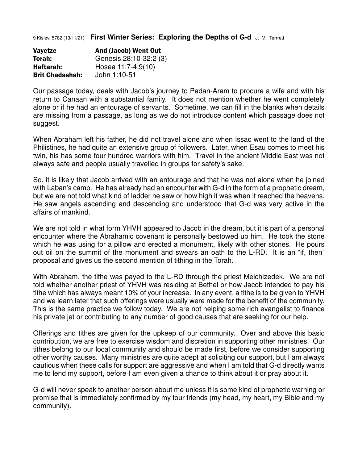9 Kislev, 5782 (13/11/21) **First Winter Series: Exploring the Depths of G-d** J. M. Terrrett

| Vayetze                | <b>And (Jacob) Went Out</b> |
|------------------------|-----------------------------|
| Torah:                 | Genesis 28:10-32:2 (3)      |
| Haftarah:              | Hosea 11:7-4:9(10)          |
| <b>Brit Chadashah:</b> | John 1:10-51                |

Our passage today, deals with Jacob's journey to Padan-Aram to procure a wife and with his return to Canaan with a substantial family. It does not mention whether he went completely alone or if he had an entourage of servants. Sometime, we can fill in the blanks when details are missing from a passage, as long as we do not introduce content which passage does not suggest.

When Abraham left his father, he did not travel alone and when Issac went to the land of the Philistines, he had quite an extensive group of followers. Later, when Esau comes to meet his twin, his has some four hundred warriors with him. Travel in the ancient Middle East was not always safe and people usually travelled in groups for safety's sake.

So, it is likely that Jacob arrived with an entourage and that he was not alone when he joined with Laban's camp. He has already had an encounter with G-d in the form of a prophetic dream, but we are not told what kind of ladder he saw or how high it was when it reached the heavens. He saw angels ascending and descending and understood that G-d was very active in the affairs of mankind.

We are not told in what form YHVH appeared to Jacob in the dream, but it is part of a personal encounter where the Abrahamic covenant is personally bestowed up him. He took the stone which he was using for a pillow and erected a monument, likely with other stones. He pours out oil on the summit of the monument and swears an oath to the L-RD. It is an "if, then" proposal and gives us the second mention of tithing in the Torah.

With Abraham, the tithe was payed to the L-RD through the priest Melchizedek. We are not told whether another priest of YHVH was residing at Bethel or how Jacob intended to pay his tithe which has always meant 10% of your increase. In any event, a tithe is to be given to YHVH and we learn later that such offerings were usually were made for the benefit of the community. This is the same practice we follow today. We are not helping some rich evangelist to finance his private jet or contributing to any number of good causes that are seeking for our help.

Offerings and tithes are given for the upkeep of our community. Over and above this basic contribution, we are free to exercise wisdom and discretion in supporting other ministries. Our tithes belong to our local community and should be made first, before we consider supporting other worthy causes. Many ministries are quite adept at soliciting our support, but I am always cautious when these calls for support are aggressive and when I am told that G-d directly wants me to lend my support, before I am even given a chance to think about it or pray about it.

G-d will never speak to another person about me unless it is some kind of prophetic warning or promise that is immediately confirmed by my four friends (my head, my heart, my Bible and my community).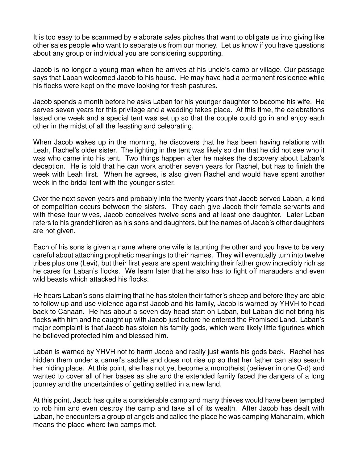It is too easy to be scammed by elaborate sales pitches that want to obligate us into giving like other sales people who want to separate us from our money. Let us know if you have questions about any group or individual you are considering supporting.

Jacob is no longer a young man when he arrives at his uncle's camp or village. Our passage says that Laban welcomed Jacob to his house. He may have had a permanent residence while his flocks were kept on the move looking for fresh pastures.

Jacob spends a month before he asks Laban for his younger daughter to become his wife. He serves seven years for this privilege and a wedding takes place. At this time, the celebrations lasted one week and a special tent was set up so that the couple could go in and enjoy each other in the midst of all the feasting and celebrating.

When Jacob wakes up in the morning, he discovers that he has been having relations with Leah, Rachel's older sister. The lighting in the tent was likely so dim that he did not see who it was who came into his tent. Two things happen after he makes the discovery about Laban's deception. He is told that he can work another seven years for Rachel, but has to finish the week with Leah first. When he agrees, is also given Rachel and would have spent another week in the bridal tent with the younger sister.

Over the next seven years and probably into the twenty years that Jacob served Laban, a kind of competition occurs between the sisters. They each give Jacob their female servants and with these four wives, Jacob conceives twelve sons and at least one daughter. Later Laban refers to his grandchildren as his sons and daughters, but the names of Jacob's other daughters are not given.

Each of his sons is given a name where one wife is taunting the other and you have to be very careful about attaching prophetic meanings to their names. They will eventually turn into twelve tribes plus one (Levi), but their first years are spent watching their father grow incredibly rich as he cares for Laban's flocks. We learn later that he also has to fight off marauders and even wild beasts which attacked his flocks.

He hears Laban's sons claiming that he has stolen their father's sheep and before they are able to follow up and use violence against Jacob and his family, Jacob is warned by YHVH to head back to Canaan. He has about a seven day head start on Laban, but Laban did not bring his flocks with him and he caught up with Jacob just before he entered the Promised Land. Laban's major complaint is that Jacob has stolen his family gods, which were likely little figurines which he believed protected him and blessed him.

Laban is warned by YHVH not to harm Jacob and really just wants his gods back. Rachel has hidden them under a camel's saddle and does not rise up so that her father can also search her hiding place. At this point, she has not yet become a monotheist (believer in one G-d) and wanted to cover all of her bases as she and the extended family faced the dangers of a long journey and the uncertainties of getting settled in a new land.

At this point, Jacob has quite a considerable camp and many thieves would have been tempted to rob him and even destroy the camp and take all of its wealth. After Jacob has dealt with Laban, he encounters a group of angels and called the place he was camping Mahanaim, which means the place where two camps met.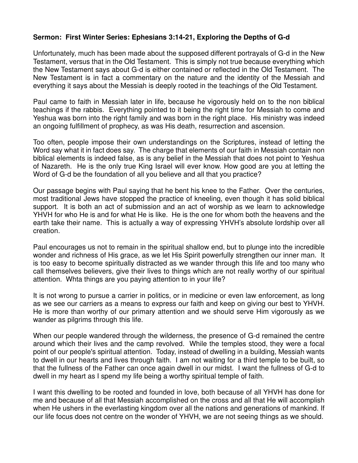## **Sermon: First Winter Series: Ephesians 3:14-21, Exploring the Depths of G-d**

Unfortunately, much has been made about the supposed different portrayals of G-d in the New Testament, versus that in the Old Testament. This is simply not true because everything which the New Testament says about G-d is either contained or reflected in the Old Testament. The New Testament is in fact a commentary on the nature and the identity of the Messiah and everything it says about the Messiah is deeply rooted in the teachings of the Old Testament.

Paul came to faith in Messiah later in life, because he vigorously held on to the non biblical teachings if the rabbis. Everything pointed to it being the right time for Messiah to come and Yeshua was born into the right family and was born in the right place. His ministry was indeed an ongoing fulfillment of prophecy, as was His death, resurrection and ascension.

Too often, people impose their own understandings on the Scriptures, instead of letting the Word say what it in fact does say. The charge that elements of our faith in Messiah contain non biblical elements is indeed false, as is any belief in the Messiah that does not point to Yeshua of Nazareth. He is the only true King Israel will ever know. How good are you at letting the Word of G-d be the foundation of all you believe and all that you practice?

Our passage begins with Paul saying that he bent his knee to the Father. Over the centuries, most traditional Jews have stopped the practice of kneeling, even though it has solid biblical support. It is both an act of submission and an act of worship as we learn to acknowledge YHVH for who He is and for what He is like. He is the one for whom both the heavens and the earth take their name. This is actually a way of expressing YHVH's absolute lordship over all creation.

Paul encourages us not to remain in the spiritual shallow end, but to plunge into the incredible wonder and richness of His grace, as we let His Spirit powerfully strengthen our inner man. It is too easy to become spiritually distracted as we wander through this life and too many who call themselves believers, give their lives to things which are not really worthy of our spiritual attention. Whta things are you paying attention to in your life?

It is not wrong to pursue a carrier in politics, or in medicine or even law enforcement, as long as we see our carriers as a means to express our faith and keep on giving our best to YHVH. He is more than worthy of our primary attention and we should serve Him vigorously as we wander as pilgrims through this life.

When our people wandered through the wilderness, the presence of G-d remained the centre around which their lives and the camp revolved. While the temples stood, they were a focal point of our people's spiritual attention. Today, instead of dwelling in a building, Messiah wants to dwell in our hearts and lives through faith. I am not waiting for a third temple to be built, so that the fullness of the Father can once again dwell in our midst. I want the fullness of G-d to dwell in my heart as I spend my life being a worthy spiritual temple of faith.

I want this dwelling to be rooted and founded in love, both because of all YHVH has done for me and because of all that Messiah accomplished on the cross and all that He will accomplish when He ushers in the everlasting kingdom over all the nations and generations of mankind. If our life focus does not centre on the wonder of YHVH, we are not seeing things as we should.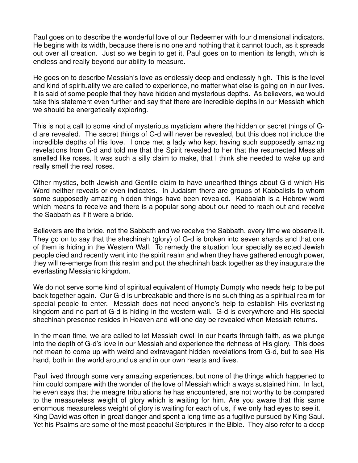Paul goes on to describe the wonderful love of our Redeemer with four dimensional indicators. He begins with its width, because there is no one and nothing that it cannot touch, as it spreads out over all creation. Just so we begin to get it, Paul goes on to mention its length, which is endless and really beyond our ability to measure.

He goes on to describe Messiah's love as endlessly deep and endlessly high. This is the level and kind of spirituality we are called to experience, no matter what else is going on in our lives. It is said of some people that they have hidden and mysterious depths. As believers, we would take this statement even further and say that there are incredible depths in our Messiah which we should be energetically exploring.

This is not a call to some kind of mysterious mysticism where the hidden or secret things of Gd are revealed. The secret things of G-d will never be revealed, but this does not include the incredible depths of His love. I once met a lady who kept having such supposedly amazing revelations from G-d and told me that the Spirit revealed to her that the resurrected Messiah smelled like roses. It was such a silly claim to make, that I think she needed to wake up and really smell the real roses.

Other mystics, both Jewish and Gentile claim to have unearthed things about G-d which His Word neither reveals or even indicates. In Judaism there are groups of Kabbalists to whom some supposedly amazing hidden things have been revealed. Kabbalah is a Hebrew word which means to receive and there is a popular song about our need to reach out and receive the Sabbath as if it were a bride.

Believers are the bride, not the Sabbath and we receive the Sabbath, every time we observe it. They go on to say that the shechinah (glory) of G-d is broken into seven shards and that one of them is hiding in the Western Wall. To remedy the situation four specially selected Jewish people died and recently went into the spirit realm and when they have gathered enough power, they will re-emerge from this realm and put the shechinah back together as they inaugurate the everlasting Messianic kingdom.

We do not serve some kind of spiritual equivalent of Humpty Dumpty who needs help to be put back together again. Our G-d is unbreakable and there is no such thing as a spiritual realm for special people to enter. Messiah does not need anyone's help to establish His everlasting kingdom and no part of G-d is hiding in the western wall. G-d is everywhere and His special shechinah presence resides in Heaven and will one day be revealed when Messiah returns.

In the mean time, we are called to let Messiah dwell in our hearts through faith, as we plunge into the depth of G-d's love in our Messiah and experience the richness of His glory. This does not mean to come up with weird and extravagant hidden revelations from G-d, but to see His hand, both in the world around us and in our own hearts and lives.

Paul lived through some very amazing experiences, but none of the things which happened to him could compare with the wonder of the love of Messiah which always sustained him. In fact, he even says that the meagre tribulations he has encountered, are not worthy to be compared to the measureless weight of glory which is waiting for him. Are you aware that this same enormous measureless weight of glory is waiting for each of us, if we only had eyes to see it. King David was often in great danger and spent a long time as a fugitive pursued by King Saul. Yet his Psalms are some of the most peaceful Scriptures in the Bible. They also refer to a deep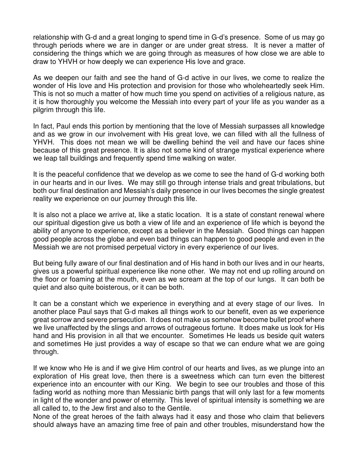relationship with G-d and a great longing to spend time in G-d's presence. Some of us may go through periods where we are in danger or are under great stress. It is never a matter of considering the things which we are going through as measures of how close we are able to draw to YHVH or how deeply we can experience His love and grace.

As we deepen our faith and see the hand of G-d active in our lives, we come to realize the wonder of His love and His protection and provision for those who wholeheartedly seek Him. This is not so much a matter of how much time you spend on activities of a religious nature, as it is how thoroughly you welcome the Messiah into every part of your life as you wander as a pilgrim through this life.

In fact, Paul ends this portion by mentioning that the love of Messiah surpasses all knowledge and as we grow in our involvement with His great love, we can filled with all the fullness of YHVH. This does not mean we will be dwelling behind the veil and have our faces shine because of this great presence. It is also not some kind of strange mystical experience where we leap tall buildings and frequently spend time walking on water.

It is the peaceful confidence that we develop as we come to see the hand of G-d working both in our hearts and in our lives. We may still go through intense trials and great tribulations, but both our final destination and Messiah's daily presence in our lives becomes the single greatest reality we experience on our journey through this life.

It is also not a place we arrive at, like a static location. It is a state of constant renewal where our spiritual digestion give us both a view of life and an experience of life which is beyond the ability of anyone to experience, except as a believer in the Messiah. Good things can happen good people across the globe and even bad things can happen to good people and even in the Messiah we are not promised perpetual victory in every experience of our lives.

But being fully aware of our final destination and of His hand in both our lives and in our hearts, gives us a powerful spiritual experience like none other. We may not end up rolling around on the floor or foaming at the mouth, even as we scream at the top of our lungs. It can both be quiet and also quite boisterous, or it can be both.

It can be a constant which we experience in everything and at every stage of our lives. In another place Paul says that G-d makes all things work to our benefit, even as we experience great sorrow and severe persecution. It does not make us somehow become bullet proof where we live unaffected by the slings and arrows of outrageous fortune. It does make us look for His hand and His provision in all that we encounter. Sometimes He leads us beside quit waters and sometimes He just provides a way of escape so that we can endure what we are going through.

If we know who He is and if we give Him control of our hearts and lives, as we plunge into an exploration of His great love, then there is a sweetness which can turn even the bitterest experience into an encounter with our King. We begin to see our troubles and those of this fading world as nothing more than Messianic birth pangs that will only last for a few moments in light of the wonder and power of eternity. This level of spiritual intensity is something we are all called to, to the Jew first and also to the Gentile.

None of the great heroes of the faith always had it easy and those who claim that believers should always have an amazing time free of pain and other troubles, misunderstand how the